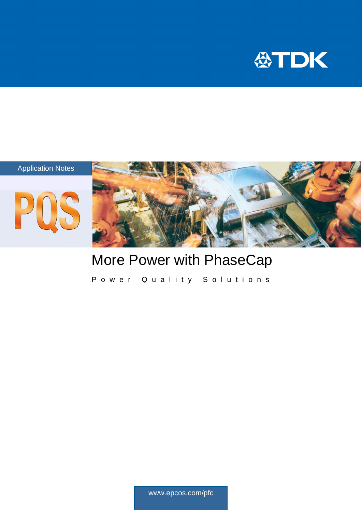



### More Power with PhaseCap

Power Quality Solutions

www.epcos.com/pfc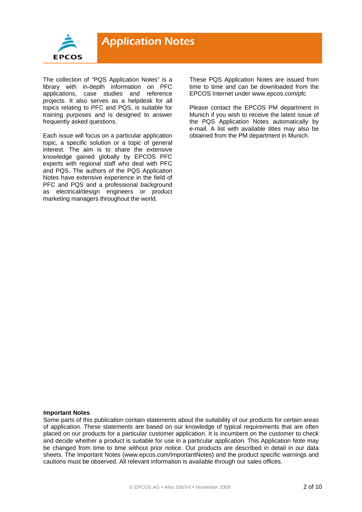

The collection of "PQS Application Notes" is a library with in-depth information on PFC applications, case studies and reference projects. It also serves as a helpdesk for all topics relating to PFC and PQS, is suitable for training purposes and is designed to answer frequently asked questions.

Each issue will focus on a particular application topic, a specific solution or a topic of general interest. The aim is to share the extensive knowledge gained globally by EPCOS PFC experts with regional staff who deal with PFC and PQS. The authors of the PQS Application Notes have extensive experience in the field of PFC and PQS and a professional background as electrical/design engineers or product marketing managers throughout the world.

These PQS Application Notes are issued from time to time and can be downloaded from the EPCOS Internet under www.epcos.com/pfc

Please contact the EPCOS PM department in Munich if you wish to receive the latest issue of the PQS Application Notes automatically by e-mail. A list with available titles may also be obtained from the PM department in Munich.

#### **Important Notes**

Some parts of this publication contain statements about the suitability of our products for certain areas of application. These statements are based on our knowledge of typical requirements that are often placed on our products for a particular customer application. It is incumbent on the customer to check and decide whether a product is suitable for use in a particular application. This Application Note may be changed from time to time without prior notice. Our products are described in detail in our data sheets. The Important Notes (www.epcos.com/ImportantNotes) and the product specific warnings and cautions must be observed. All relevant information is available through our sales offices.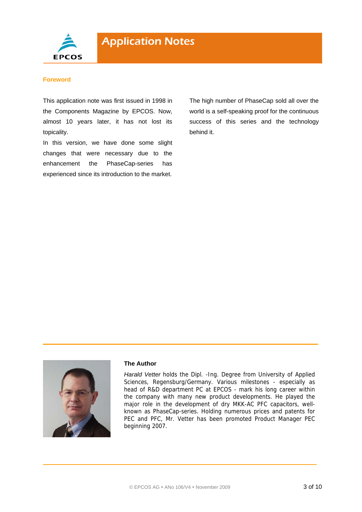

#### **Foreword**

This application note was first issued in 1998 in the Components Magazine by EPCOS. Now, almost 10 years later, it has not lost its topicality.

In this version, we have done some slight changes that were necessary due to the enhancement the PhaseCap-series has experienced since its introduction to the market.

The high number of PhaseCap sold all over the world is a self-speaking proof for the continuous success of this series and the technology behind it.



#### **The Author**

*Harald Vetter* holds the Dipl. -Ing. Degree from University of Applied Sciences, Regensburg/Germany. Various milestones - especially as head of R&D department PC at EPCOS - mark his long career within the company with many new product developments. He played the major role in the development of dry MKK-AC PFC capacitors, wellknown as PhaseCap-series. Holding numerous prices and patents for PEC and PFC, Mr. Vetter has been promoted Product Manager PEC beginning 2007.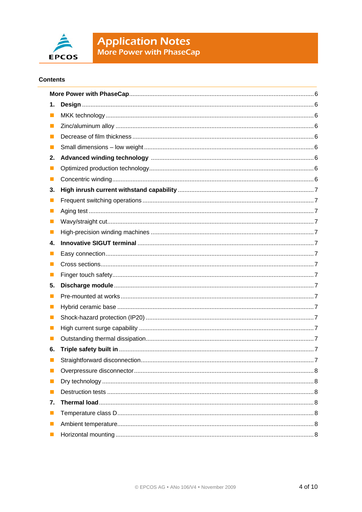

## **Application Notes**<br>More Power with PhaseCap

#### **Contents**

| 1.             |  |  |  |
|----------------|--|--|--|
| ш              |  |  |  |
| ш              |  |  |  |
| П              |  |  |  |
| ш              |  |  |  |
| 2.             |  |  |  |
| $\blacksquare$ |  |  |  |
| $\blacksquare$ |  |  |  |
| 3.             |  |  |  |
| ш              |  |  |  |
|                |  |  |  |
| ш              |  |  |  |
| ш              |  |  |  |
| 4.             |  |  |  |
|                |  |  |  |
| ш              |  |  |  |
| ш              |  |  |  |
| 5.             |  |  |  |
| ш              |  |  |  |
| ш              |  |  |  |
| ш              |  |  |  |
| ш              |  |  |  |
| ш              |  |  |  |
| 6.             |  |  |  |
|                |  |  |  |
| ш              |  |  |  |
|                |  |  |  |
| H              |  |  |  |
| 7.             |  |  |  |
| $\blacksquare$ |  |  |  |
| $\mathcal{L}$  |  |  |  |
| ш              |  |  |  |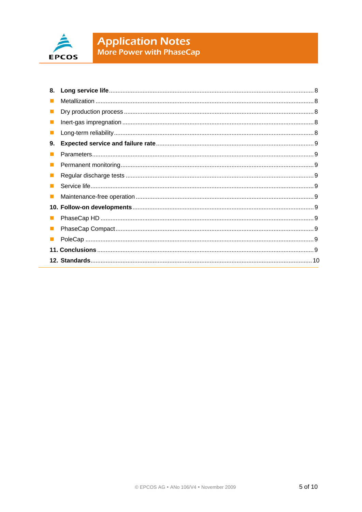

# **Application Notes**<br>More Power with PhaseCap

| 8. |  |
|----|--|
|    |  |
|    |  |
|    |  |
|    |  |
| 9. |  |
|    |  |
|    |  |
|    |  |
|    |  |
|    |  |
|    |  |
|    |  |
|    |  |
|    |  |
|    |  |
|    |  |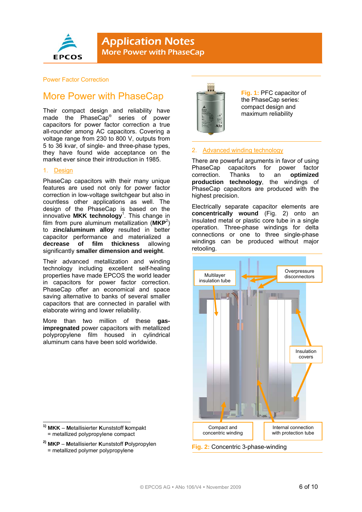

#### Power Factor Correction

### More Power with PhaseCap

Their compact design and reliability have made the PhaseCap® series of power capacitors for power factor correction a true all-rounder among AC capacitors. Covering a voltage range from 230 to 800 V, outputs from 5 to 36 kvar, of single- and three-phase types, they have found wide acceptance on the market ever since their introduction in 1985.

#### 1. Design

PhaseCap capacitors with their many unique features are used not only for power factor correction in low-voltage switchgear but also in countless other applications as well. The design of the PhaseCap is based on the innovative **MKK technology**<sup>1</sup> . This change in film from pure aluminum metallization (**MKP**<sup>2</sup> ) to **zinc/aluminum alloy** resulted in better capacitor performance and materialized a **decrease of film thickness** allowing significantly **smaller dimension and weight**.

Their advanced metallization and winding technology including excellent self-healing properties have made EPCOS the world leader in capacitors for power factor correction. PhaseCap offer an economical and space saving alternative to banks of several smaller capacitors that are connected in parallel with elaborate wiring and lower reliability.

More than two million of these **gasimpregnated** power capacitors with metallized polypropylene film housed in cylindrical aluminum cans have been sold worldwide.

- 1 **1) MKK** – **M**etallisierter **K**unststoff **k**ompakt = metallized polypropylene compact
- **2) MKP M**etallisierter **K**unststoff **P**olypropylen = metallized polymer polypropylene



**Fig. 1:** PFC capacitor of the PhaseCap series: compact design and maximum reliability

#### 2. Advanced winding technology

There are powerful arguments in favor of using PhaseCap capacitors for power factor<br>correction. Thanks to an optimized correction. Thanks to an **production technology**, the windings of PhaseCap capacitors are produced with the highest precision.

Electrically separate capacitor elements are **concentrically wound** (Fig. 2) onto an insulated metal or plastic core tube in a single operation. Three-phase windings for delta connections or one to three single-phase windings can be produced without major retooling.



**Fig. 2:** Concentric 3-phase-winding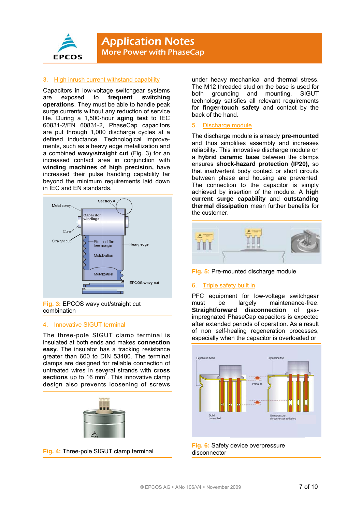

#### 3. High inrush current withstand capability

Capacitors in low-voltage switchgear systems are exposed to **frequent switching operations**. They must be able to handle peak surge currents without any reduction of service life. During a 1,500-hour **aging test** to IEC 60831-2/EN 60831-2, PhaseCap capacitors are put through 1,000 discharge cycles at a defined inductance. Technological improvements, such as a heavy edge metallization and a combined **wavy**/**straight cut** (Fig. 3) for an increased contact area in conjunction with **winding machines of high precision,** have increased their pulse handling capability far beyond the minimum requirements laid down in IEC and EN standards.



**Fig. 3:** EPCOS wavy cut/straight cut combination

#### 4. Innovative SIGUT terminal

The three-pole SIGUT clamp terminal is insulated at both ends and makes **connection easy**. The insulator has a tracking resistance greater than 600 to DIN 53480. The terminal clamps are designed for reliable connection of untreated wires in several strands with **cross**  sections up to 16 mm<sup>2</sup>. This innovative clamp design also prevents loosening of screws





under heavy mechanical and thermal stress. The M12 threaded stud on the base is used for both grounding and mounting. SIGUT technology satisfies all relevant requirements for **finger-touch safety** and contact by the back of the hand.

#### 5. Discharge module

The discharge module is already **pre-mounted** and thus simplifies assembly and increases reliability. This innovative discharge module on a **hybrid ceramic base** between the clamps ensures **shock-hazard protection (IP20),** so that inadvertent body contact or short circuits between phase and housing are prevented. The connection to the capacitor is simply achieved by insertion of the module. A **high current surge capability** and **outstanding thermal dissipation** mean further benefits for the customer.



**Fig. 5:** Pre-mounted discharge module

#### 6. Triple safety built in

PFC equipment for low-voltage switchgear must be largely maintenance-free. **Straightforward disconnection** of gasimpregnated PhaseCap capacitors is expected after extended periods of operation. As a result of non self-healing regeneration processes, especially when the capacitor is overloaded or



**Fig. 6:** Safety device overpressure disconnector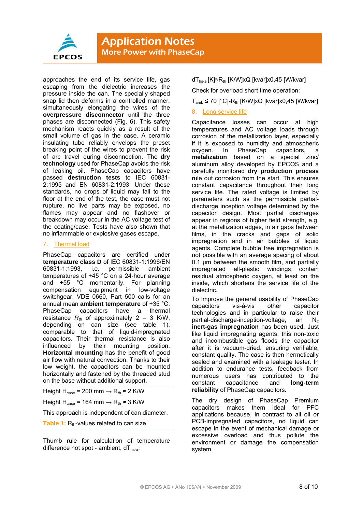

approaches the end of its service life, gas escaping from the dielectric increases the pressure inside the can. The specially shaped snap lid then deforms in a controlled manner, simultaneously elongating the wires of the **overpressure disconnector** until the three phases are disconnected (Fig. 6). This safety mechanism reacts quickly as a result of the small volume of gas in the case. A ceramic insulating tube reliably envelops the preset breaking point of the wires to prevent the risk of arc travel during disconnection. The **dry technology** used for PhaseCap avoids the risk of leaking oil. PhaseCap capacitors have passed **destruction tests** to IEC 60831- 2:1995 and EN 60831-2:1993. Under these standards, no drops of liquid may fall to the floor at the end of the test, the case must not rupture, no live parts may be exposed, no flames may appear and no flashover or breakdown may occur in the AC voltage test of the coating/case. Tests have also shown that no inflammable or explosive gases escape.

#### 7. Thermal load

PhaseCap capacitors are certified under **temperature class D** of IEC 60831-1:1996/EN 60831-1:1993, i.e. permissible ambient temperatures of +45 °C on a 24-hour average and +55 °C momentarily. For planning compensation equipment in low-voltage switchgear, VDE 0660, Part 500 calls for an annual mean **ambient temperature** of +35 °C. PhaseCap capacitors have a thermal resistance  $R_{\text{th}}$  of approximately 2 – 3 K/W, depending on can size (see table 1), comparable to that of liquid-impregnated capacitors. Their thermal resistance is also<br>influenced by their mounting position. influenced by their mounting **Horizontal mounting** has the benefit of good air flow with natural convection. Thanks to their low weight, the capacitors can be mounted horizontally and fastened by the threaded stud on the base without additional support.

Height H<sub>case</sub> = 200 mm  $\rightarrow$  R<sub>th</sub>  $\approx$  2 K/W

Height H<sub>case</sub> = 164 mm  $\rightarrow$  R<sub>th</sub>  $\approx$  3 K/W

This approach is independent of can diameter.

**Table 1:** R<sub>th</sub>-values related to can size

Thumb rule for calculation of temperature difference hot spot - ambient,  $dT_{hs-a}$ :

dT<sub>hs-a</sub> [K]≈R<sub>th</sub> [K/W]xQ [kvar]x0,45 [W/kvar]

Check for overload short time operation:

 $T_{amb}$  ≤ 70 [°C]- $R_{th}$  [K/W]xQ [kvar]x0,45 [W/kvar]

#### 8. Long service life

Capacitance losses can occur at high temperatures and AC voltage loads through corrosion of the metallization layer, especially if it is exposed to humidity and atmospheric oxygen. In PhaseCap capacitors, a **metalization** based on a special zinc/ aluminum alloy developed by EPCOS and a carefully monitored **dry production process** rule out corrosion from the start. This ensures constant capacitance throughout their long service life. The rated voltage is limited by parameters such as the permissible partialdischarge inception voltage determined by the capacitor design. Most partial discharges appear in regions of higher field strength, e.g. at the metallization edges, in air gaps between films, in the cracks and gaps of solid impregnation and in air bubbles of liquid agents. Complete bubble free impregnation is not possible with an average spacing of about 0.1 μm between the smooth film, and partially impregnated all-plastic windings contain residual atmospheric oxygen, at least on the inside, which shortens the service life of the dielectric.

To improve the general usability of PhaseCap capacitors vis-à-vis other capacitor technologies and in particular to raise their partial-discharge-inception-voltage, an  $N_2$ **inert-gas impregnation** has been used. Just like liquid impregnating agents, this non-toxic and incombustible gas floods the capacitor after it is vacuum-dried, ensuring verifiable, constant quality. The case is then hermetically sealed and examined with a leakage tester. In addition to endurance tests, feedback from numerous users has contributed to the constant capacitance and **long-term reliability** of PhaseCap capacitors.

The dry design of PhaseCap Premium capacitors makes them ideal for PFC applications because, in contrast to all oil or PCB-impregnated capacitors, no liquid can escape in the event of mechanical damage or excessive overload and thus pollute the environment or damage the compensation system.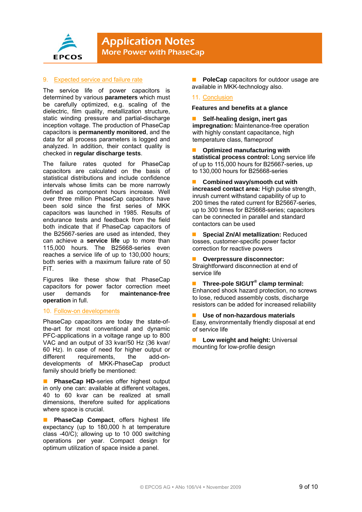

**Application Notes** More Power with PhaseCap

#### 9. Expected service and failure rate

The service life of power capacitors is determined by various **parameters** which must be carefully optimized, e.g. scaling of the dielectric, film quality, metallization structure, static winding pressure and partial-discharge inception voltage. The production of PhaseCap capacitors is **permanently monitored**, and the data for all process parameters is logged and analyzed. In addition, their contact quality is checked in **regular discharge tests**.

The failure rates quoted for PhaseCap capacitors are calculated on the basis of statistical distributions and include confidence intervals whose limits can be more narrowly defined as component hours increase. Well over three million PhaseCap capacitors have been sold since the first series of MKK capacitors was launched in 1985. Results of endurance tests and feedback from the field both indicate that if PhaseCap capacitors of the B25667-series are used as intended, they can achieve a **service life** up to more than 115,000 hours. The B25668-series even reaches a service life of up to 130,000 hours; both series with a maximum failure rate of 50 FIT.

Figures like these show that PhaseCap capacitors for power factor correction meet user demands for **maintenance-free operation** in full.

#### 10. Follow-on developments

PhaseCap capacitors are today the state-ofthe-art for most conventional and dynamic PFC-applications in a voltage range up to 800 VAC and an output of 33 kvar/50 Hz (36 kvar/ 60 Hz). In case of need for higher output or different requirements, the add-ondevelopments of MKK-PhaseCap product family should briefly be mentioned:

**PhaseCap HD-series offer highest output** in only one can: available at different voltages, 40 to 60 kvar can be realized at small dimensions, therefore suited for applications where space is crucial.

**PhaseCap Compact**, offers highest life expectancy (up to 180,000 h at temperature class -40/C); allowing up to 10 000 switching operations per year. Compact design for optimum utilization of space inside a panel.

 **PoleCap** capacitors for outdoor usage are available in MKK-technology also.

#### 11. Conclusion

#### **Features and benefits at a glance**

 **Self-healing design, inert gas impregnation:** Maintenance-free operation with highly constant capacitance, high temperature class, flameproof

 **Optimized manufacturing with statistical process control:** Long service life of up to 115,000 hours for B25667-series, up to 130,000 hours for B25668-series

 **Combined wavy/smooth cut with increased contact area:** High pulse strength, inrush current withstand capability of up to 200 times the rated current for B25667-series, up to 300 times for B25668-series; capacitors can be connected in parallel and standard contactors can be used

 **Special Zn/Al metallization:** Reduced losses, customer-specific power factor correction for reactive powers

- **Overpressure disconnector:**  Straightforward disconnection at end of service life
- Three-pole SIGUT<sup>®</sup> clamp terminal: Enhanced shock hazard protection, no screws to lose, reduced assembly costs, discharge resistors can be added for increased reliability
- **Use of non-hazardous materials**  Easy, environmentally friendly disposal at end of service life
- **Low weight and height:** Universal mounting for low-profile design